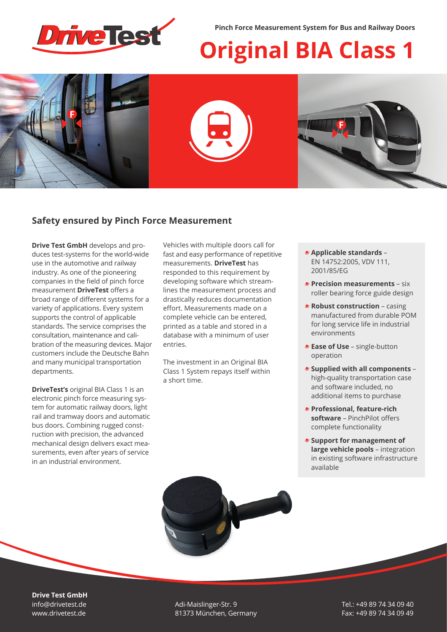

**Pinch Force Measurement System for Bus and Railway Doors**

# **Original BIA Class 1**



## **Safety ensured by Pinch Force Measurement**

**Drive Test GmbH** develops and produces test-systems for the world-wide use in the automotive and railway industry. As one of the pioneering companies in the field of pinch force measurement **DriveTest** offers a broad range of different systems for a variety of applications. Every system supports the control of applicable standards. The service comprises the consultation, maintenance and calibration of the measuring devices. Major customers include the Deutsche Bahn and many municipal transportation departments.

**DriveTest's** original BIA Class 1 is an electronic pinch force measuring system for automatic railway doors, light rail and tramway doors and automatic bus doors. Combining rugged construction with precision, the advanced mechanical design delivers exact measurements, even after years of service in an industrial environment.

Vehicles with multiple doors call for fast and easy performance of repetitive measurements. **DriveTest** has responded to this requirement by developing software which streamlines the measurement process and drastically reduces documentation effort. Measurements made on a complete vehicle can be entered, printed as a table and stored in a database with a minimum of user entries.

The investment in an Original BIA Class 1 System repays itself within a short time.

- **Applicable standards**  EN 14752:2005, VDV 111, 2001/85/EG
- **Precision measurements** six roller bearing force guide design
- *Robust construction casing* manufactured from durable POM for long service life in industrial environments
- **Ease of Use**  single-button operation
- **Supplied with all components**  high-quality transportation case and software included, no additional items to purchase
- **Professional, feature-rich software** – PinchPilot offers complete functionality
- **Support for management of large vehicle pools** – integration in existing software infrastructure available



**Drive Test GmbH** info@drivetest.de www.drivetest.de

Adi-Maislinger-Str. 9 81373 München, Germany Tel.: +49 89 74 34 09 40 Fax: +49 89 74 34 09 49